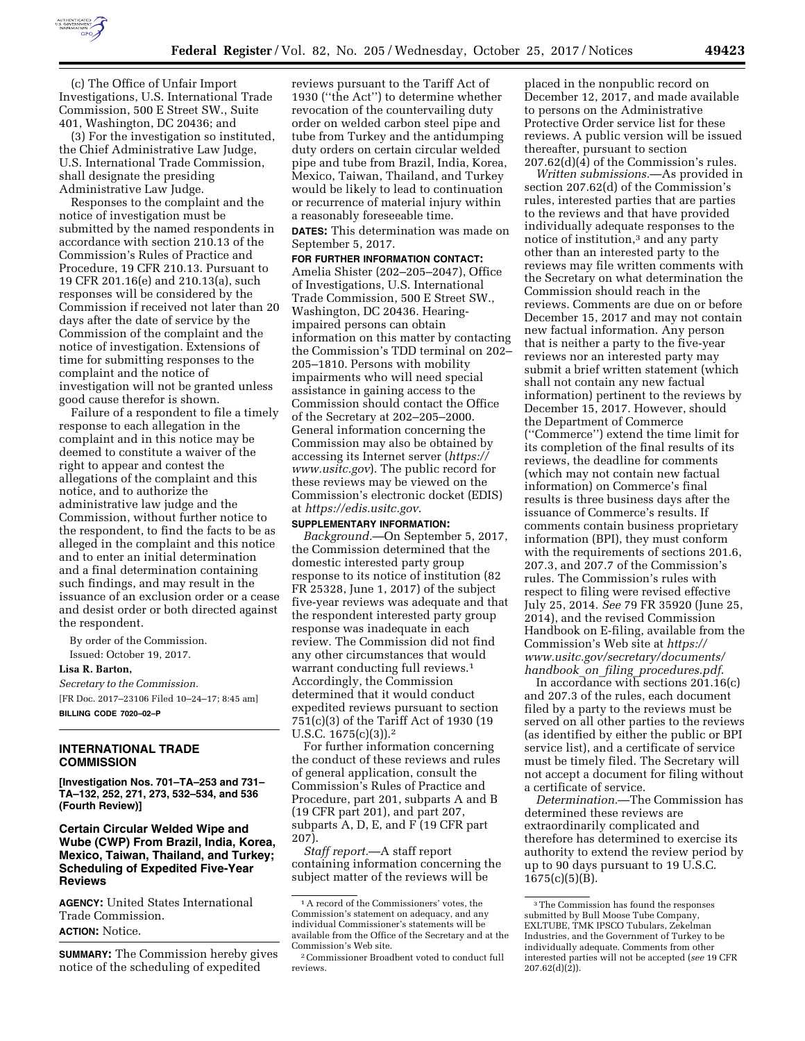

(c) The Office of Unfair Import Investigations, U.S. International Trade Commission, 500 E Street SW., Suite 401, Washington, DC 20436; and

(3) For the investigation so instituted, the Chief Administrative Law Judge, U.S. International Trade Commission, shall designate the presiding Administrative Law Judge.

Responses to the complaint and the notice of investigation must be submitted by the named respondents in accordance with section 210.13 of the Commission's Rules of Practice and Procedure, 19 CFR 210.13. Pursuant to 19 CFR 201.16(e) and 210.13(a), such responses will be considered by the Commission if received not later than 20 days after the date of service by the Commission of the complaint and the notice of investigation. Extensions of time for submitting responses to the complaint and the notice of investigation will not be granted unless good cause therefor is shown.

Failure of a respondent to file a timely response to each allegation in the complaint and in this notice may be deemed to constitute a waiver of the right to appear and contest the allegations of the complaint and this notice, and to authorize the administrative law judge and the Commission, without further notice to the respondent, to find the facts to be as alleged in the complaint and this notice and to enter an initial determination and a final determination containing such findings, and may result in the issuance of an exclusion order or a cease and desist order or both directed against the respondent.

By order of the Commission. Issued: October 19, 2017.

**Lisa R. Barton,** 

*Secretary to the Commission.*  [FR Doc. 2017–23106 Filed 10–24–17; 8:45 am] **BILLING CODE 7020–02–P** 

## **INTERNATIONAL TRADE COMMISSION**

**[Investigation Nos. 701–TA–253 and 731– TA–132, 252, 271, 273, 532–534, and 536 (Fourth Review)]** 

# **Certain Circular Welded Wipe and Wube (CWP) From Brazil, India, Korea, Mexico, Taiwan, Thailand, and Turkey; Scheduling of Expedited Five-Year Reviews**

**AGENCY:** United States International Trade Commission. **ACTION:** Notice.

**SUMMARY:** The Commission hereby gives notice of the scheduling of expedited

reviews pursuant to the Tariff Act of 1930 (''the Act'') to determine whether revocation of the countervailing duty order on welded carbon steel pipe and tube from Turkey and the antidumping duty orders on certain circular welded pipe and tube from Brazil, India, Korea, Mexico, Taiwan, Thailand, and Turkey would be likely to lead to continuation or recurrence of material injury within a reasonably foreseeable time.

**DATES:** This determination was made on September 5, 2017.

**FOR FURTHER INFORMATION CONTACT:**  Amelia Shister (202–205–2047), Office of Investigations, U.S. International Trade Commission, 500 E Street SW., Washington, DC 20436. Hearingimpaired persons can obtain information on this matter by contacting the Commission's TDD terminal on 202– 205–1810. Persons with mobility impairments who will need special assistance in gaining access to the Commission should contact the Office of the Secretary at 202–205–2000. General information concerning the Commission may also be obtained by accessing its Internet server (*[https://](https://www.usitc.gov) [www.usitc.gov](https://www.usitc.gov)*). The public record for these reviews may be viewed on the Commission's electronic docket (EDIS) at *<https://edis.usitc.gov>*.

#### **SUPPLEMENTARY INFORMATION:**

*Background.*—On September 5, 2017, the Commission determined that the domestic interested party group response to its notice of institution (82 FR 25328, June 1, 2017) of the subject five-year reviews was adequate and that the respondent interested party group response was inadequate in each review. The Commission did not find any other circumstances that would warrant conducting full reviews.1 Accordingly, the Commission determined that it would conduct expedited reviews pursuant to section 751(c)(3) of the Tariff Act of 1930 (19 U.S.C. 1675(c)(3)).2

For further information concerning the conduct of these reviews and rules of general application, consult the Commission's Rules of Practice and Procedure, part 201, subparts A and B (19 CFR part 201), and part 207, subparts A, D, E, and F (19 CFR part 207).

*Staff report.*—A staff report containing information concerning the subject matter of the reviews will be

placed in the nonpublic record on December 12, 2017, and made available to persons on the Administrative Protective Order service list for these reviews. A public version will be issued thereafter, pursuant to section 207.62(d)(4) of the Commission's rules.

*Written submissions.*—As provided in section 207.62(d) of the Commission's rules, interested parties that are parties to the reviews and that have provided individually adequate responses to the notice of institution,3 and any party other than an interested party to the reviews may file written comments with the Secretary on what determination the Commission should reach in the reviews. Comments are due on or before December 15, 2017 and may not contain new factual information. Any person that is neither a party to the five-year reviews nor an interested party may submit a brief written statement (which shall not contain any new factual information) pertinent to the reviews by December 15, 2017. However, should the Department of Commerce (''Commerce'') extend the time limit for its completion of the final results of its reviews, the deadline for comments (which may not contain new factual information) on Commerce's final results is three business days after the issuance of Commerce's results. If comments contain business proprietary information (BPI), they must conform with the requirements of sections 201.6. 207.3, and 207.7 of the Commission's rules. The Commission's rules with respect to filing were revised effective July 25, 2014. *See* 79 FR 35920 (June 25, 2014), and the revised Commission Handbook on E-filing, available from the Commission's Web site at *[https://](https://www.usitc.gov/secretary/documents/handbook_on_filing_procedures.pdf) [www.usitc.gov/secretary/documents/](https://www.usitc.gov/secretary/documents/handbook_on_filing_procedures.pdf)  handbook*\_*on*\_*filing*\_*[procedures.pdf](https://www.usitc.gov/secretary/documents/handbook_on_filing_procedures.pdf)*.

In accordance with sections 201.16(c) and 207.3 of the rules, each document filed by a party to the reviews must be served on all other parties to the reviews (as identified by either the public or BPI service list), and a certificate of service must be timely filed. The Secretary will not accept a document for filing without a certificate of service.

*Determination.*—The Commission has determined these reviews are extraordinarily complicated and therefore has determined to exercise its authority to extend the review period by up to 90 days pursuant to 19 U.S.C.  $1675(c)(5)(B)$ .

<sup>1</sup>A record of the Commissioners' votes, the Commission's statement on adequacy, and any individual Commissioner's statements will be available from the Office of the Secretary and at the Commission's Web site.

<sup>2</sup>Commissioner Broadbent voted to conduct full reviews.

<sup>3</sup>The Commission has found the responses submitted by Bull Moose Tube Company, EXLTUBE, TMK IPSCO Tubulars, Zekelman Industries, and the Government of Turkey to be individually adequate. Comments from other interested parties will not be accepted (*see* 19 CFR  $207.62(d)(2)$ ).